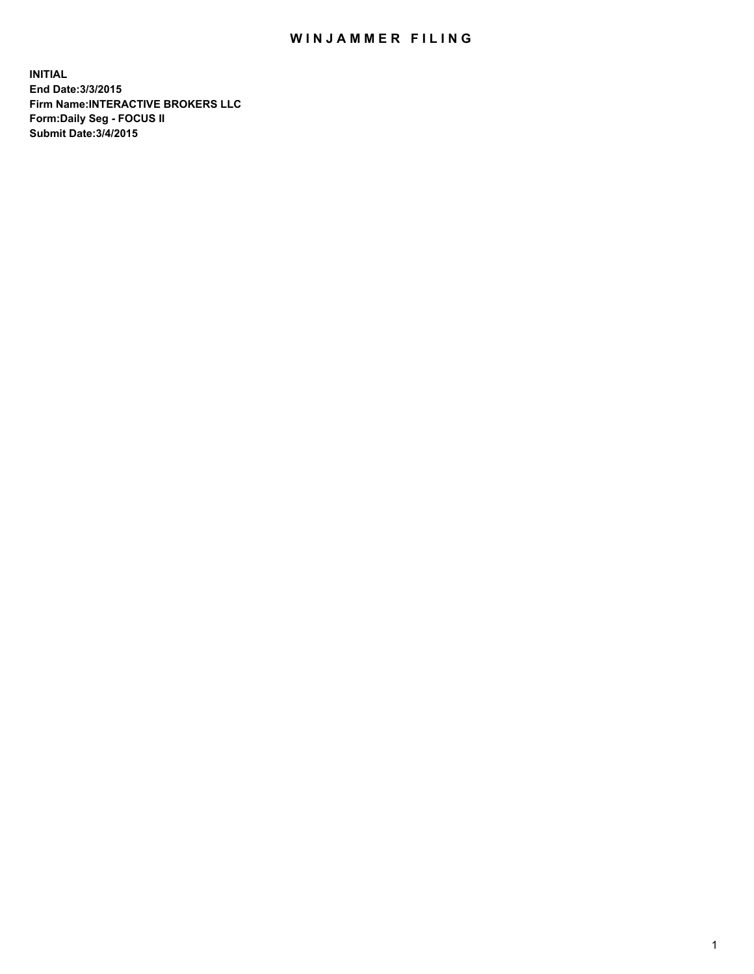## WIN JAMMER FILING

**INITIAL End Date:3/3/2015 Firm Name:INTERACTIVE BROKERS LLC Form:Daily Seg - FOCUS II Submit Date:3/4/2015**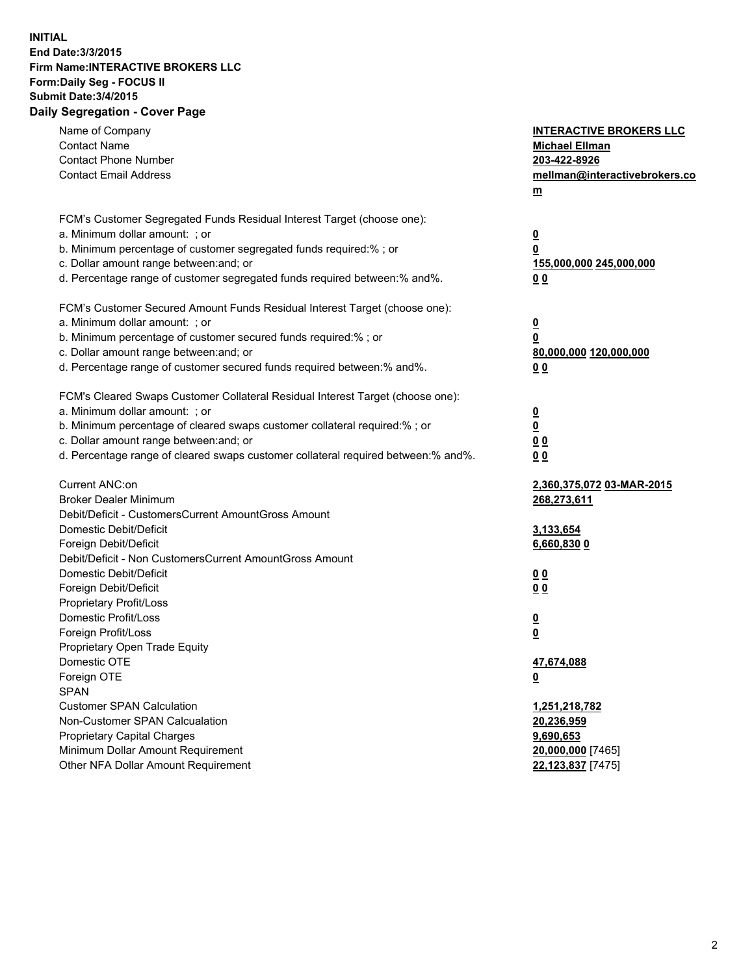## **INITIAL End Date:3/3/2015 Firm Name:INTERACTIVE BROKERS LLC Form:Daily Seg - FOCUS II Submit Date:3/4/2015 Daily Segregation - Cover Page**

| Name of Company                                                                                                       | <b>INTERACTIVE BROKERS LLC</b> |
|-----------------------------------------------------------------------------------------------------------------------|--------------------------------|
| <b>Contact Name</b>                                                                                                   | <b>Michael Ellman</b>          |
| <b>Contact Phone Number</b>                                                                                           | 203-422-8926                   |
| <b>Contact Email Address</b>                                                                                          | mellman@interactivebrokers.co  |
|                                                                                                                       | $\underline{\mathbf{m}}$       |
| FCM's Customer Segregated Funds Residual Interest Target (choose one):                                                |                                |
| a. Minimum dollar amount: ; or                                                                                        |                                |
| b. Minimum percentage of customer segregated funds required:% ; or                                                    | $\overline{\mathbf{0}}$<br>0   |
| c. Dollar amount range between: and; or                                                                               |                                |
| d. Percentage range of customer segregated funds required between:% and%.                                             | 155,000,000 245,000,000        |
|                                                                                                                       | 00                             |
| FCM's Customer Secured Amount Funds Residual Interest Target (choose one):                                            |                                |
| a. Minimum dollar amount: ; or                                                                                        | $\overline{\mathbf{0}}$        |
| b. Minimum percentage of customer secured funds required:% ; or                                                       | 0                              |
| c. Dollar amount range between: and; or                                                                               | 80,000,000 120,000,000         |
| d. Percentage range of customer secured funds required between:% and%.                                                | 00                             |
|                                                                                                                       |                                |
| FCM's Cleared Swaps Customer Collateral Residual Interest Target (choose one):                                        |                                |
| a. Minimum dollar amount: ; or                                                                                        | $\overline{\mathbf{0}}$        |
| b. Minimum percentage of cleared swaps customer collateral required:% ; or<br>c. Dollar amount range between: and; or | $\overline{\mathbf{0}}$        |
| d. Percentage range of cleared swaps customer collateral required between:% and%.                                     | 0 <sub>0</sub>                 |
|                                                                                                                       | 0 <sub>0</sub>                 |
| Current ANC:on                                                                                                        | 2,360,375,072 03-MAR-2015      |
| <b>Broker Dealer Minimum</b>                                                                                          | 268,273,611                    |
| Debit/Deficit - CustomersCurrent AmountGross Amount                                                                   |                                |
| Domestic Debit/Deficit                                                                                                | 3,133,654                      |
| Foreign Debit/Deficit                                                                                                 | 6,660,830 0                    |
| Debit/Deficit - Non CustomersCurrent AmountGross Amount                                                               |                                |
| Domestic Debit/Deficit                                                                                                | 0 <sub>0</sub>                 |
| Foreign Debit/Deficit                                                                                                 | 0 <sub>0</sub>                 |
| Proprietary Profit/Loss                                                                                               |                                |
| Domestic Profit/Loss                                                                                                  | $\overline{\mathbf{0}}$        |
| Foreign Profit/Loss                                                                                                   | $\underline{\mathbf{0}}$       |
| Proprietary Open Trade Equity                                                                                         |                                |
| Domestic OTE                                                                                                          | 47,674,088                     |
| Foreign OTE                                                                                                           | <u>0</u>                       |
| <b>SPAN</b>                                                                                                           |                                |
| <b>Customer SPAN Calculation</b>                                                                                      | 1,251,218,782                  |
| Non-Customer SPAN Calcualation                                                                                        | 20,236,959                     |
| Proprietary Capital Charges                                                                                           | 9,690,653                      |
| Minimum Dollar Amount Requirement                                                                                     | 20,000,000 [7465]              |
| Other NFA Dollar Amount Requirement                                                                                   | 22,123,837 [7475]              |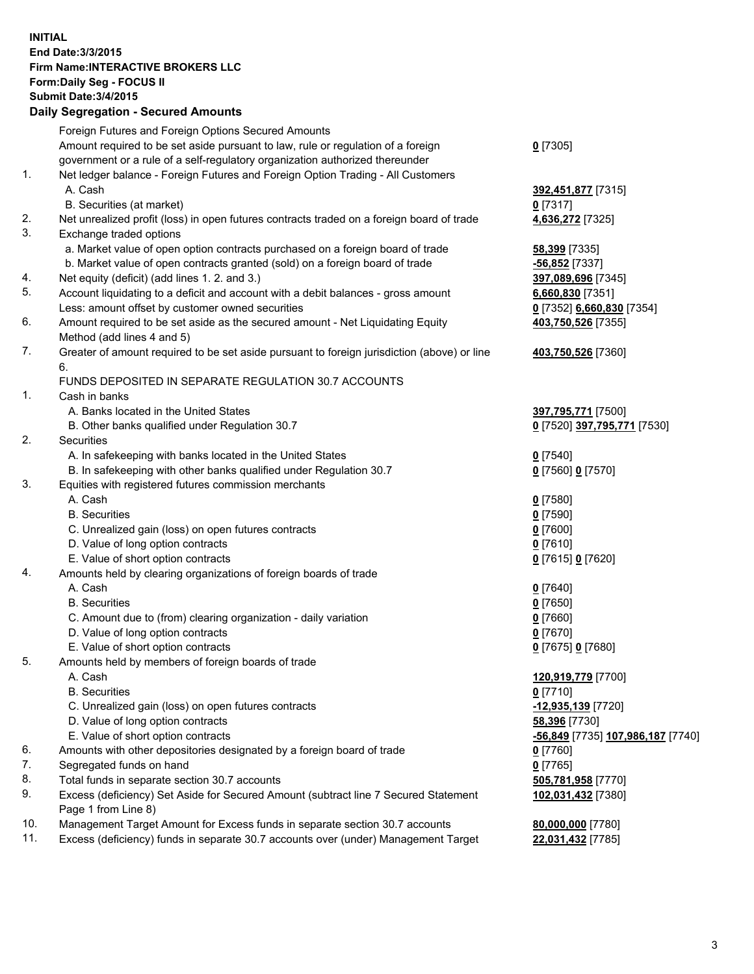## **INITIAL End Date:3/3/2015 Firm Name:INTERACTIVE BROKERS LLC Form:Daily Seg - FOCUS II Submit Date:3/4/2015 Daily Segregation - Secured Amounts**

|     | Foreign Futures and Foreign Options Secured Amounts                                                        |                                                 |
|-----|------------------------------------------------------------------------------------------------------------|-------------------------------------------------|
|     | Amount required to be set aside pursuant to law, rule or regulation of a foreign                           | $0$ [7305]                                      |
|     | government or a rule of a self-regulatory organization authorized thereunder                               |                                                 |
| 1.  | Net ledger balance - Foreign Futures and Foreign Option Trading - All Customers                            |                                                 |
|     | A. Cash                                                                                                    | 392,451,877 [7315]                              |
|     | B. Securities (at market)                                                                                  | $0$ [7317]                                      |
| 2.  | Net unrealized profit (loss) in open futures contracts traded on a foreign board of trade                  | 4,636,272 [7325]                                |
| 3.  | Exchange traded options                                                                                    |                                                 |
|     | a. Market value of open option contracts purchased on a foreign board of trade                             | 58,399 [7335]                                   |
|     | b. Market value of open contracts granted (sold) on a foreign board of trade                               | -56,852 [7337]                                  |
| 4.  | Net equity (deficit) (add lines 1. 2. and 3.)                                                              | 397,089,696 [7345]                              |
| 5.  | Account liquidating to a deficit and account with a debit balances - gross amount                          | 6,660,830 [7351]                                |
|     | Less: amount offset by customer owned securities                                                           | 0 [7352] 6,660,830 [7354]                       |
| 6.  | Amount required to be set aside as the secured amount - Net Liquidating Equity                             | 403,750,526 [7355]                              |
|     | Method (add lines 4 and 5)                                                                                 |                                                 |
| 7.  | Greater of amount required to be set aside pursuant to foreign jurisdiction (above) or line                | 403,750,526 [7360]                              |
|     | 6.                                                                                                         |                                                 |
|     | FUNDS DEPOSITED IN SEPARATE REGULATION 30.7 ACCOUNTS                                                       |                                                 |
| 1.  | Cash in banks                                                                                              |                                                 |
|     | A. Banks located in the United States                                                                      | 397,795,771 [7500]                              |
|     | B. Other banks qualified under Regulation 30.7                                                             | 0 [7520] 397,795,771 [7530]                     |
| 2.  | Securities                                                                                                 |                                                 |
|     | A. In safekeeping with banks located in the United States                                                  | $Q$ [7540]                                      |
|     | B. In safekeeping with other banks qualified under Regulation 30.7                                         | 0 [7560] 0 [7570]                               |
| 3.  | Equities with registered futures commission merchants                                                      |                                                 |
|     | A. Cash                                                                                                    | $0$ [7580]                                      |
|     | <b>B.</b> Securities                                                                                       | $0$ [7590]                                      |
|     | C. Unrealized gain (loss) on open futures contracts                                                        | $0$ [7600]                                      |
|     | D. Value of long option contracts                                                                          | $0$ [7610]                                      |
|     | E. Value of short option contracts                                                                         | 0 [7615] 0 [7620]                               |
| 4.  | Amounts held by clearing organizations of foreign boards of trade                                          |                                                 |
|     | A. Cash                                                                                                    | $0$ [7640]                                      |
|     | <b>B.</b> Securities                                                                                       | $0$ [7650]                                      |
|     | C. Amount due to (from) clearing organization - daily variation                                            | $0$ [7660]                                      |
|     | D. Value of long option contracts                                                                          | $0$ [7670]                                      |
|     | E. Value of short option contracts                                                                         | 0 [7675] 0 [7680]                               |
| 5.  | Amounts held by members of foreign boards of trade                                                         |                                                 |
|     | A. Cash                                                                                                    | 120,919,779 [7700]                              |
|     | <b>B.</b> Securities                                                                                       | $0$ [7710]                                      |
|     | C. Unrealized gain (loss) on open futures contracts                                                        | -12,935,139 [7720]                              |
|     | D. Value of long option contracts                                                                          | 58,396 [7730]                                   |
|     | E. Value of short option contracts                                                                         | <u>-56,849</u> [7735] <u>107,986,187</u> [7740] |
| 6.  | Amounts with other depositories designated by a foreign board of trade                                     | $0$ [7760]                                      |
| 7.  | Segregated funds on hand                                                                                   | $0$ [7765]                                      |
| 8.  | Total funds in separate section 30.7 accounts                                                              | 505,781,958 [7770]                              |
| 9.  | Excess (deficiency) Set Aside for Secured Amount (subtract line 7 Secured Statement<br>Page 1 from Line 8) | 102,031,432 [7380]                              |
| 10. | Management Target Amount for Excess funds in separate section 30.7 accounts                                | 80,000,000 [7780]                               |
| 11. | Excess (deficiency) funds in separate 30.7 accounts over (under) Management Target                         | 22,031,432 [7785]                               |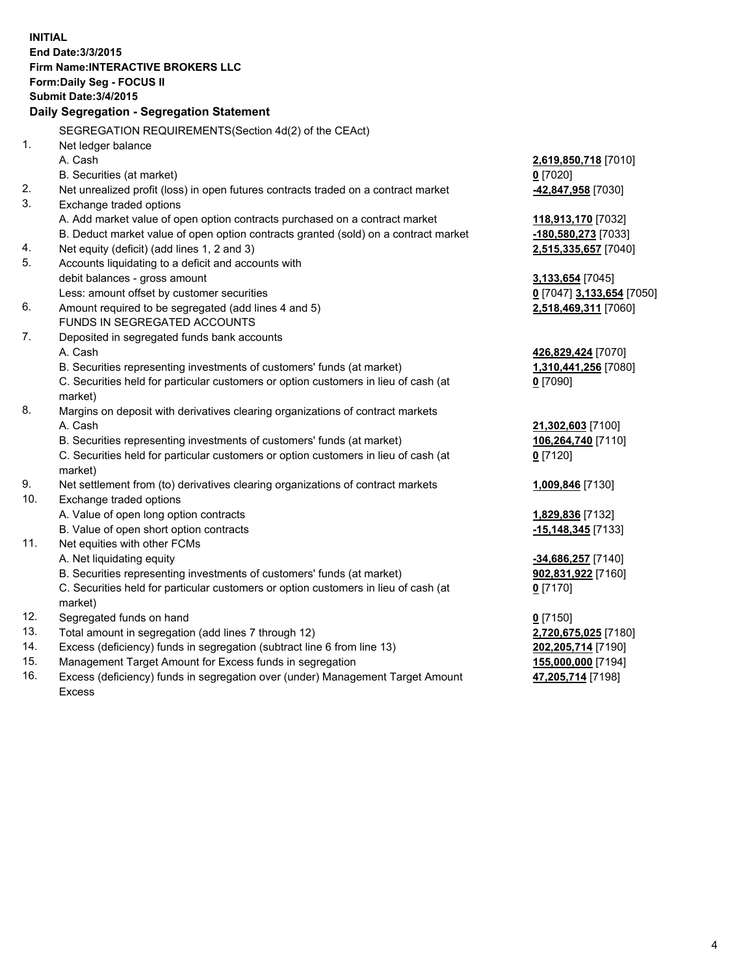**INITIAL End Date:3/3/2015 Firm Name:INTERACTIVE BROKERS LLC Form:Daily Seg - FOCUS II Submit Date:3/4/2015 Daily Segregation - Segregation Statement** SEGREGATION REQUIREMENTS(Section 4d(2) of the CEAct) 1. Net ledger balance A. Cash **2,619,850,718** [7010] B. Securities (at market) **0** [7020] 2. Net unrealized profit (loss) in open futures contracts traded on a contract market **-42,847,958** [7030] 3. Exchange traded options A. Add market value of open option contracts purchased on a contract market **118,913,170** [7032] B. Deduct market value of open option contracts granted (sold) on a contract market **-180,580,273** [7033] 4. Net equity (deficit) (add lines 1, 2 and 3) **2,515,335,657** [7040] 5. Accounts liquidating to a deficit and accounts with debit balances - gross amount **3,133,654** [7045] Less: amount offset by customer securities **0** [7047] **3,133,654** [7050] 6. Amount required to be segregated (add lines 4 and 5) **2,518,469,311** [7060] FUNDS IN SEGREGATED ACCOUNTS 7. Deposited in segregated funds bank accounts A. Cash **426,829,424** [7070] B. Securities representing investments of customers' funds (at market) **1,310,441,256** [7080] C. Securities held for particular customers or option customers in lieu of cash (at market) **0** [7090] 8. Margins on deposit with derivatives clearing organizations of contract markets A. Cash **21,302,603** [7100] B. Securities representing investments of customers' funds (at market) **106,264,740** [7110] C. Securities held for particular customers or option customers in lieu of cash (at market) **0** [7120] 9. Net settlement from (to) derivatives clearing organizations of contract markets **1,009,846** [7130] 10. Exchange traded options A. Value of open long option contracts **1,829,836** [7132] B. Value of open short option contracts **-15,148,345** [7133] 11. Net equities with other FCMs A. Net liquidating equity **-34,686,257** [7140] B. Securities representing investments of customers' funds (at market) **902,831,922** [7160] C. Securities held for particular customers or option customers in lieu of cash (at market) **0** [7170] 12. Segregated funds on hand **0** [7150] 13. Total amount in segregation (add lines 7 through 12) **2,720,675,025** [7180] 14. Excess (deficiency) funds in segregation (subtract line 6 from line 13) **202,205,714** [7190] 15. Management Target Amount for Excess funds in segregation **155,000,000** [7194]

16. Excess (deficiency) funds in segregation over (under) Management Target Amount Excess

**47,205,714** [7198]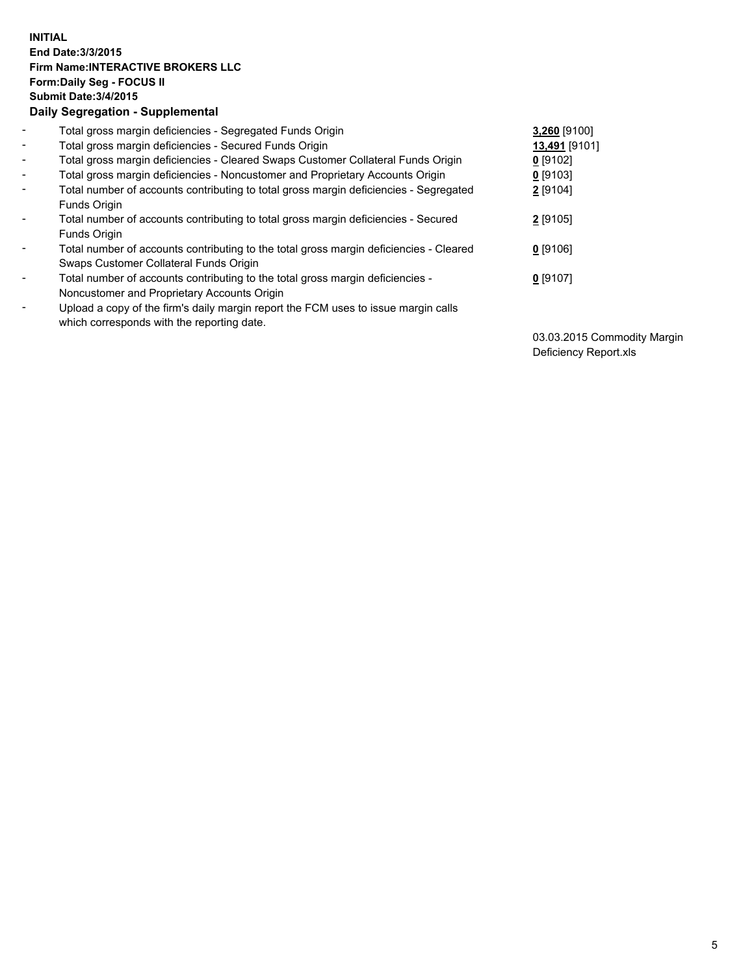## **INITIAL End Date:3/3/2015 Firm Name:INTERACTIVE BROKERS LLC Form:Daily Seg - FOCUS II Submit Date:3/4/2015 Daily Segregation - Supplemental**

| $\blacksquare$           | Total gross margin deficiencies - Segregated Funds Origin                              | 3,260 [9100]  |
|--------------------------|----------------------------------------------------------------------------------------|---------------|
| $\sim$                   | Total gross margin deficiencies - Secured Funds Origin                                 | 13,491 [9101] |
| $\blacksquare$           | Total gross margin deficiencies - Cleared Swaps Customer Collateral Funds Origin       | $0$ [9102]    |
| $\blacksquare$           | Total gross margin deficiencies - Noncustomer and Proprietary Accounts Origin          | $0$ [9103]    |
| $\blacksquare$           | Total number of accounts contributing to total gross margin deficiencies - Segregated  | 2 [9104]      |
|                          | Funds Origin                                                                           |               |
| $\blacksquare$           | Total number of accounts contributing to total gross margin deficiencies - Secured     | 2 [9105]      |
|                          | <b>Funds Origin</b>                                                                    |               |
| $\blacksquare$           | Total number of accounts contributing to the total gross margin deficiencies - Cleared | $0$ [9106]    |
|                          | Swaps Customer Collateral Funds Origin                                                 |               |
| -                        | Total number of accounts contributing to the total gross margin deficiencies -         | $0$ [9107]    |
|                          | Noncustomer and Proprietary Accounts Origin                                            |               |
| $\overline{\phantom{0}}$ | Upload a copy of the firm's daily margin report the FCM uses to issue margin calls     |               |
|                          | which corresponds with the reporting date.                                             |               |

03.03.2015 Commodity Margin Deficiency Report.xls